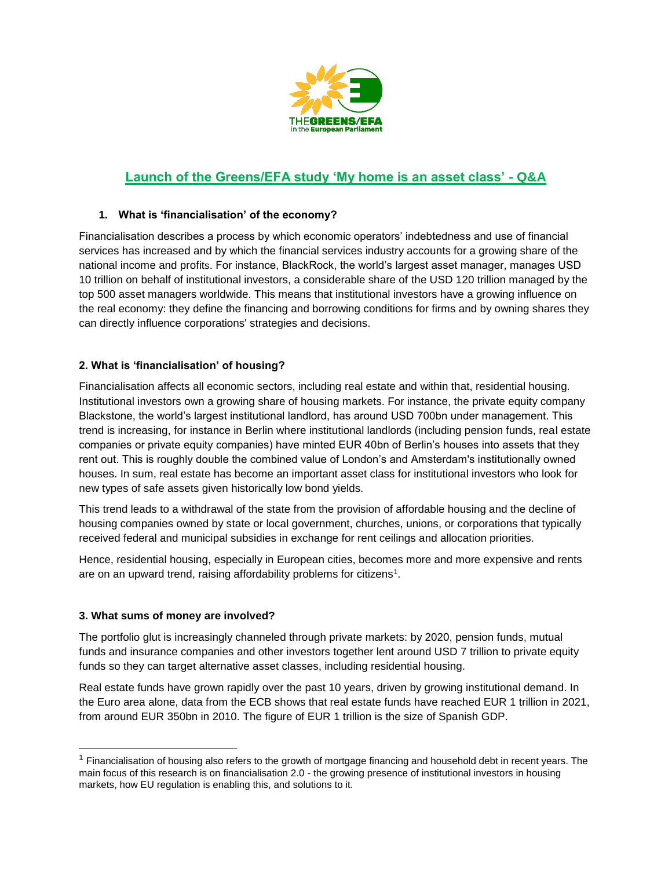

# **Launch of the Greens/EFA study 'My home is an asset class' - Q&A**

# **1. What is 'financialisation' of the economy?**

Financialisation describes a process by which economic operators' indebtedness and use of financial services has increased and by which the financial services industry accounts for a growing share of the national income and profits. For instance, BlackRock, the world's largest asset manager, manages USD 10 trillion on behalf of institutional investors, a considerable share of the USD 120 trillion managed by the top 500 asset managers worldwide. This means that institutional investors have a growing influence on the real economy: they define the financing and borrowing conditions for firms and by owning shares they can directly influence corporations' strategies and decisions.

# **2. What is 'financialisation' of housing?**

Financialisation affects all economic sectors, including real estate and within that, residential housing. Institutional investors own a growing share of housing markets. For instance, the private equity company Blackstone, the world's largest institutional landlord, has around USD 700bn under management. This trend is increasing, for instance in Berlin where institutional landlords (including pension funds, real estate companies or private equity companies) have minted EUR 40bn of Berlin's houses into assets that they rent out. This is roughly double the combined value of London's and Amsterdam's institutionally owned houses. In sum, real estate has become an important asset class for institutional investors who look for new types of safe assets given historically low bond yields.

This trend leads to a withdrawal of the state from the provision of affordable housing and the decline of housing companies owned by state or local government, churches, unions, or corporations that typically received federal and municipal subsidies in exchange for rent ceilings and allocation priorities.

Hence, residential housing, especially in European cities, becomes more and more expensive and rents are on an upward trend, raising affordability problems for citizens<sup>1</sup>.

## **3. What sums of money are involved?**

The portfolio glut is increasingly channeled through private markets: by 2020, pension funds, mutual funds and insurance companies and other investors together lent around USD 7 trillion to private equity funds so they can target alternative asset classes, including residential housing.

Real estate funds have grown rapidly over the past 10 years, driven by growing institutional demand. In the Euro area alone, data from the ECB shows that real estate funds have reached EUR 1 trillion in 2021, from around EUR 350bn in 2010. The figure of EUR 1 trillion is the size of Spanish GDP.

 $1$  Financialisation of housing also refers to the growth of mortgage financing and household debt in recent years. The main focus of this research is on financialisation 2.0 - the growing presence of institutional investors in housing markets, how EU regulation is enabling this, and solutions to it.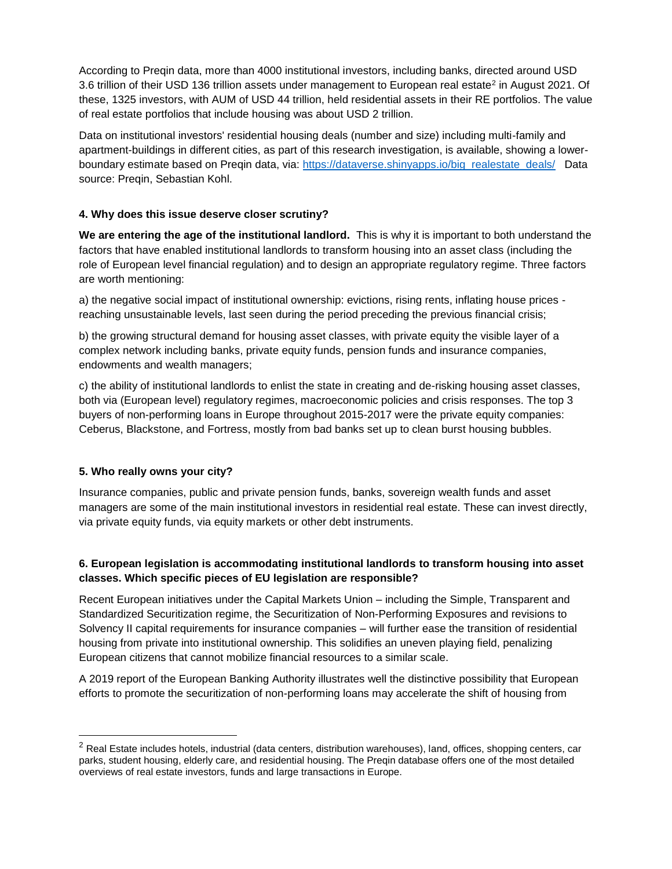According to Preqin data, more than 4000 institutional investors, including banks, directed around USD 3.6 trillion of their USD 136 trillion assets under management to European real estate<sup>2</sup> in August 2021. Of these, 1325 investors, with AUM of USD 44 trillion, held residential assets in their RE portfolios. The value of real estate portfolios that include housing was about USD 2 trillion.

Data on institutional investors' residential housing deals (number and size) including multi-family and apartment-buildings in different cities, as part of this research investigation, is available, showing a lowerboundary estimate based on Pregin data, via: [https://dataverse.shinyapps.io/big\\_realestate\\_deals/](https://dataverse.shinyapps.io/big_realestate_deals/) Data source: Preqin, Sebastian Kohl.

## **4. Why does this issue deserve closer scrutiny?**

**We are entering the age of the institutional landlord.** This is why it is important to both understand the factors that have enabled institutional landlords to transform housing into an asset class (including the role of European level financial regulation) and to design an appropriate regulatory regime. Three factors are worth mentioning:

a) the negative social impact of institutional ownership: evictions, rising rents, inflating house prices reaching unsustainable levels, last seen during the period preceding the previous financial crisis;

b) the growing structural demand for housing asset classes, with private equity the visible layer of a complex network including banks, private equity funds, pension funds and insurance companies, endowments and wealth managers;

c) the ability of institutional landlords to enlist the state in creating and de-risking housing asset classes, both via (European level) regulatory regimes, macroeconomic policies and crisis responses. The top 3 buyers of non-performing loans in Europe throughout 2015-2017 were the private equity companies: Ceberus, Blackstone, and Fortress, mostly from bad banks set up to clean burst housing bubbles.

# **5. Who really owns your city?**

Insurance companies, public and private pension funds, banks, sovereign wealth funds and asset managers are some of the main institutional investors in residential real estate. These can invest directly, via private equity funds, via equity markets or other debt instruments.

# **6. European legislation is accommodating institutional landlords to transform housing into asset classes. Which specific pieces of EU legislation are responsible?**

Recent European initiatives under the Capital Markets Union – including the Simple, Transparent and Standardized Securitization regime, the Securitization of Non-Performing Exposures and revisions to Solvency II capital requirements for insurance companies – will further ease the transition of residential housing from private into institutional ownership. This solidifies an uneven playing field, penalizing European citizens that cannot mobilize financial resources to a similar scale.

A 2019 report of the European Banking Authority illustrates well the distinctive possibility that European efforts to promote the securitization of non-performing loans may accelerate the shift of housing from

<sup>&</sup>lt;sup>2</sup> Real Estate includes hotels, industrial (data centers, distribution warehouses), land, offices, shopping centers, car parks, student housing, elderly care, and residential housing. The Preqin database offers one of the most detailed overviews of real estate investors, funds and large transactions in Europe.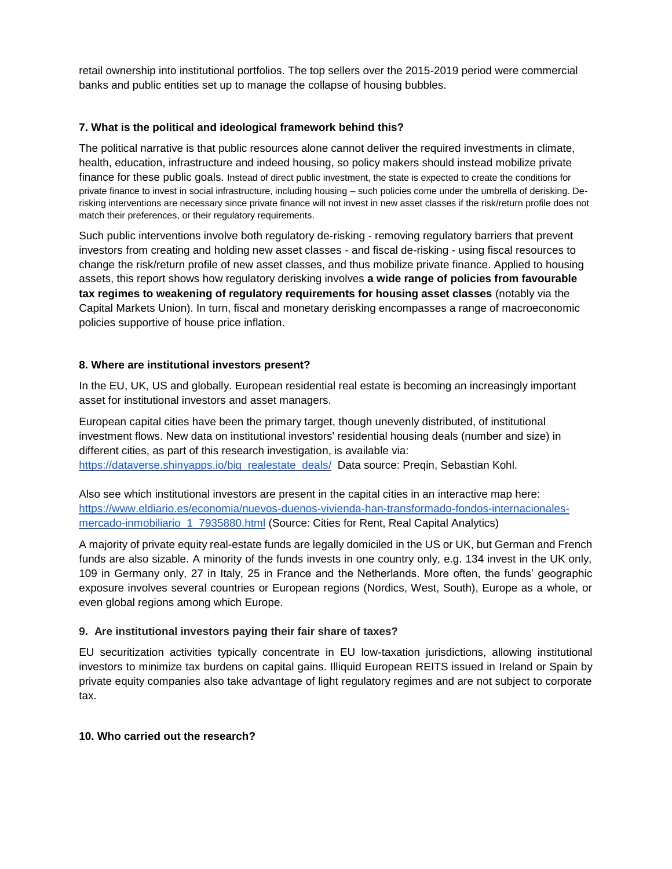retail ownership into institutional portfolios. The top sellers over the 2015-2019 period were commercial banks and public entities set up to manage the collapse of housing bubbles.

#### **7. What is the political and ideological framework behind this?**

The political narrative is that public resources alone cannot deliver the required investments in climate, health, education, infrastructure and indeed housing, so policy makers should instead mobilize private finance for these public goals. Instead of direct public investment, the state is expected to create the conditions for private finance to invest in social infrastructure, including housing – such policies come under the umbrella of derisking. Derisking interventions are necessary since private finance will not invest in new asset classes if the risk/return profile does not match their preferences, or their regulatory requirements.

Such public interventions involve both regulatory de-risking - removing regulatory barriers that prevent investors from creating and holding new asset classes - and fiscal de-risking - using fiscal resources to change the risk/return profile of new asset classes, and thus mobilize private finance. Applied to housing assets, this report shows how regulatory derisking involves **a wide range of policies from favourable tax regimes to weakening of regulatory requirements for housing asset classes** (notably via the Capital Markets Union). In turn, fiscal and monetary derisking encompasses a range of macroeconomic policies supportive of house price inflation.

## **8. Where are institutional investors present?**

In the EU, UK, US and globally. European residential real estate is becoming an increasingly important asset for institutional investors and asset managers.

European capital cities have been the primary target, though unevenly distributed, of institutional investment flows. New data on institutional investors' residential housing deals (number and size) in different cities, as part of this research investigation, is available via: [https://dataverse.shinyapps.io/big\\_realestate\\_deals/](https://dataverse.shinyapps.io/big_realestate_deals/) Data source: Preqin, Sebastian Kohl.

Also see which institutional investors are present in the capital cities in an interactive map here: [https://www.eldiario.es/economia/nuevos-duenos-vivienda-han-transformado-fondos-internacionales](https://www.eldiario.es/economia/nuevos-duenos-vivienda-han-transformado-fondos-internacionales-mercado-inmobiliario_1_7935880.html)mercado-inmobiliario 1 7935880.html (Source: Cities for Rent, Real Capital Analytics)

A majority of private equity real-estate funds are legally domiciled in the US or UK, but German and French funds are also sizable. A minority of the funds invests in one country only, e.g. 134 invest in the UK only, 109 in Germany only, 27 in Italy, 25 in France and the Netherlands. More often, the funds' geographic exposure involves several countries or European regions (Nordics, West, South), Europe as a whole, or even global regions among which Europe.

## **9. Are institutional investors paying their fair share of taxes?**

EU securitization activities typically concentrate in EU low-taxation jurisdictions, allowing institutional investors to minimize tax burdens on capital gains. Illiquid European REITS issued in Ireland or Spain by private equity companies also take advantage of light regulatory regimes and are not subject to corporate tax.

## **10. Who carried out the research?**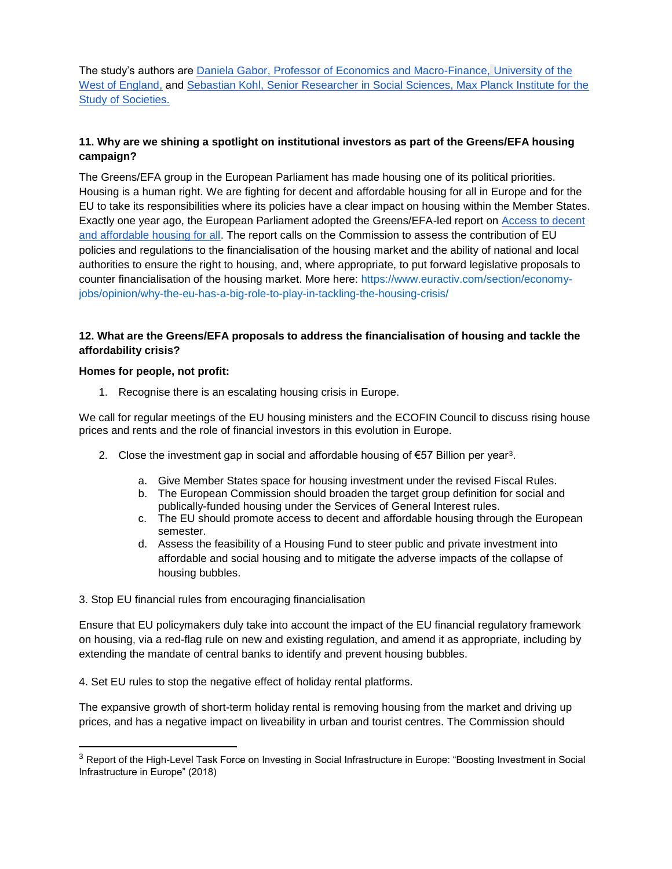The study's authors are [Daniela Gabor, Professor of Economics and Macro-Finance,](https://people.uwe.ac.uk/Person/DanielaGabor) [University of the](https://people.uwe.ac.uk/Person/DanielaGabor)  [West of England,](https://people.uwe.ac.uk/Person/DanielaGabor) and [Sebastian Kohl,](https://www.sebastiankohl.com/) Senior Researcher in Social Sciences, Max Planck Institute for the Study of Societies.

## **11. Why are we shining a spotlight on institutional investors as part of the Greens/EFA housing campaign?**

The Greens/EFA group in the European Parliament has made housing one of its political priorities. Housing is a human right. We are fighting for decent and affordable housing for all in Europe and for the EU to take its responsibilities where its policies have a clear impact on housing within the Member States. Exactly one year ago, the European Parliament adopted the Greens/EFA-led report o[n](https://www.europarl.europa.eu/doceo/document/A-9-2020-0247_EN.html%22%20%5Cl%20%22_ftn38https:/www.europarl.europa.eu/doceo/document/A-9-2020-0247_EN.html) [Access to decent](https://www.europarl.europa.eu/doceo/document/A-9-2020-0247_EN.html%22%20%5Cl%20%22_ftn38https:/www.europarl.europa.eu/doceo/document/A-9-2020-0247_EN.html)  [and affordable housing for all.](https://www.europarl.europa.eu/doceo/document/A-9-2020-0247_EN.html%22%20%5Cl%20%22_ftn38https:/www.europarl.europa.eu/doceo/document/A-9-2020-0247_EN.html) The report calls on the Commission to assess the contribution of EU policies and regulations to the financialisation of the housing market and the ability of national and local authorities to ensure the right to housing, and, where appropriate, to put forward legislative proposals to counter financialisation of the housing market. More here: https://www.euractiv.com/section/economyjobs/opinion/why-the-eu-has-a-big-role-to-play-in-tackling-the-housing-crisis/

## **12. What are the Greens/EFA proposals to address the financialisation of housing and tackle the affordability crisis?**

#### **Homes for people, not profit:**

 $\overline{a}$ 

1. Recognise there is an escalating housing crisis in Europe.

We call for regular meetings of the EU housing ministers and the ECOFIN Council to discuss rising house prices and rents and the role of financial investors in this evolution in Europe.

- 2. Close the investment gap in social and affordable housing of €57 Billion per year<sup>3</sup>.
	- a. Give Member States space for housing investment under the revised Fiscal Rules.
	- b. The European Commission should broaden the target group definition for social and publically-funded housing under the Services of General Interest rules.
	- c. The EU should promote access to decent and affordable housing through the European semester.
	- d. Assess the feasibility of a Housing Fund to steer public and private investment into affordable and social housing and to mitigate the adverse impacts of the collapse of housing bubbles.

#### 3. Stop EU financial rules from encouraging financialisation

Ensure that EU policymakers duly take into account the impact of the EU financial regulatory framework on housing, via a red-flag rule on new and existing regulation, and amend it as appropriate, including by extending the mandate of central banks to identify and prevent housing bubbles.

4. Set EU rules to stop the negative effect of holiday rental platforms.

The expansive growth of short-term holiday rental is removing housing from the market and driving up prices, and has a negative impact on liveability in urban and tourist centres. The Commission should

<sup>&</sup>lt;sup>3</sup> Report of the High-Level Task Force on Investing in Social Infrastructure in Europe: "Boosting Investment in Social Infrastructure in Europe" (2018)